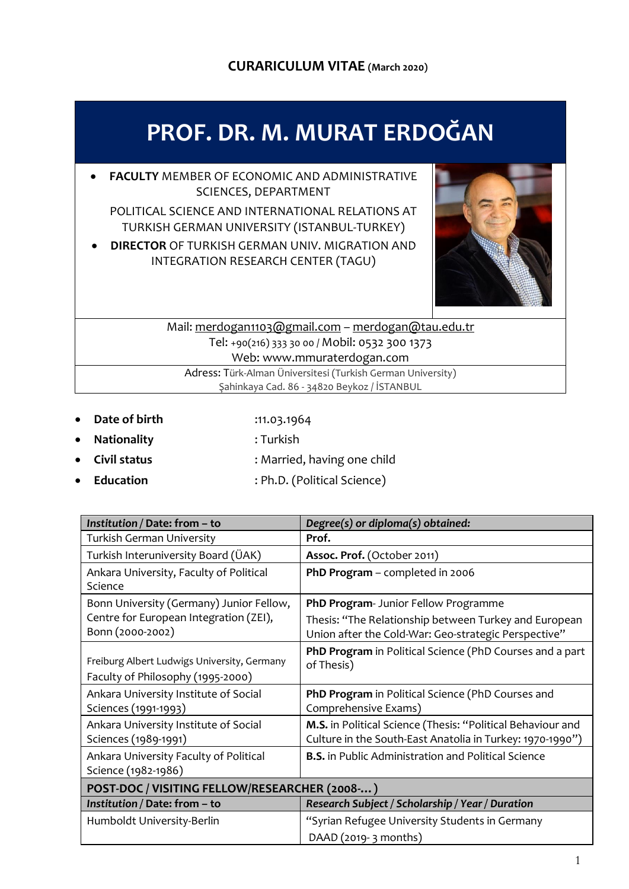# **CURARICULUM VITAE (March 2020)**

# **PROF. DR. M. MURAT ERDOĞAN**

 **FACULTY** MEMBER OF ECONOMIC AND ADMINISTRATIVE SCIENCES, DEPARTMENT

POLITICAL SCIENCE AND INTERNATIONAL RELATIONS AT TURKISH GERMAN UNIVERSITY (ISTANBUL-TURKEY)

 **DIRECTOR** OF TURKISH GERMAN UNIV. MIGRATION AND INTEGRATION RESEARCH CENTER (TAGU)



# Mail: [merdogan1103@gmail.com](mailto:merdogan1103@gmail.com) – [merdogan@tau.edu.tr](mailto:merdogan@tau.edu.tr) Tel: +90(216) 333 30 00 / Mobil: 0532 300 1373 Web: www.mmuraterdogan.com

Adress: Türk-Alman Üniversitesi (Turkish German University) Şahinkaya Cad. 86 - 34820 Beykoz / İSTANBUL

- **Date of birth** :11.03.1964
- **Nationality** : Turkish
- **Civil status** : Married, having one child
- Education : Ph.D. (Political Science)

| Institution / Date: from - to                                                    | Degree(s) or diploma(s) obtained:                                                                                        |  |  |
|----------------------------------------------------------------------------------|--------------------------------------------------------------------------------------------------------------------------|--|--|
| <b>Turkish German University</b>                                                 | Prof.                                                                                                                    |  |  |
| Turkish Interuniversity Board (ÜAK)                                              | Assoc. Prof. (October 2011)                                                                                              |  |  |
| Ankara University, Faculty of Political<br>Science                               | PhD Program - completed in 2006                                                                                          |  |  |
| Bonn University (Germany) Junior Fellow,                                         | PhD Program- Junior Fellow Programme                                                                                     |  |  |
| Centre for European Integration (ZEI),<br>Bonn (2000-2002)                       | Thesis: "The Relationship between Turkey and European<br>Union after the Cold-War: Geo-strategic Perspective"            |  |  |
| Freiburg Albert Ludwigs University, Germany<br>Faculty of Philosophy (1995-2000) | PhD Program in Political Science (PhD Courses and a part<br>of Thesis)                                                   |  |  |
| Ankara University Institute of Social<br>Sciences (1991-1993)                    | PhD Program in Political Science (PhD Courses and<br>Comprehensive Exams)                                                |  |  |
| Ankara University Institute of Social<br>Sciences (1989-1991)                    | M.S. in Political Science (Thesis: "Political Behaviour and<br>Culture in the South-East Anatolia in Turkey: 1970-1990") |  |  |
| Ankara University Faculty of Political<br>Science (1982-1986)                    | <b>B.S.</b> in Public Administration and Political Science                                                               |  |  |
| POST-DOC / VISITING FELLOW/RESEARCHER (2008-)                                    |                                                                                                                          |  |  |
| Institution / Date: from - to                                                    | Research Subject / Scholarship / Year / Duration                                                                         |  |  |
| Humboldt University-Berlin                                                       | "Syrian Refugee University Students in Germany                                                                           |  |  |
|                                                                                  | DAAD (2019-3 months)                                                                                                     |  |  |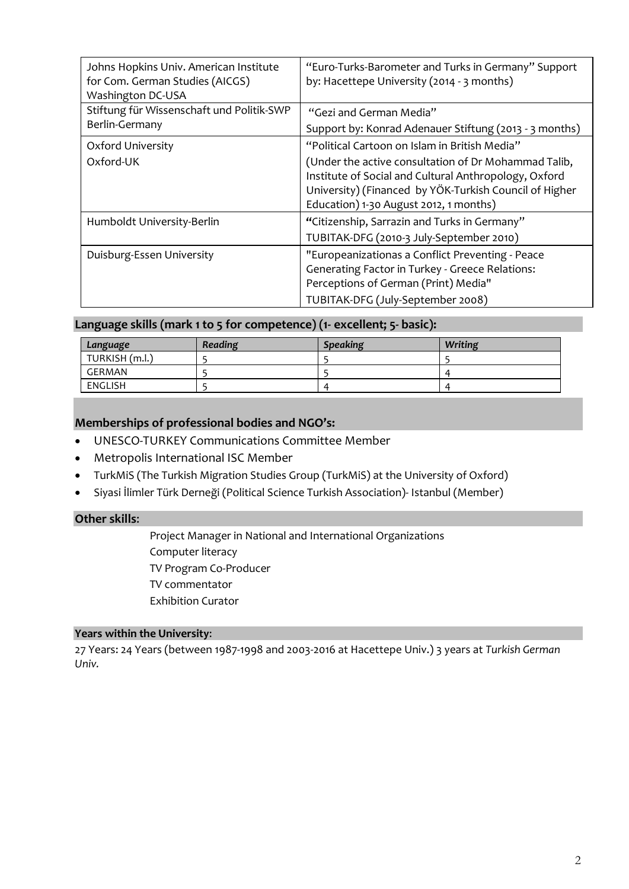| Johns Hopkins Univ. American Institute<br>for Com. German Studies (AICGS)<br>Washington DC-USA | "Euro-Turks-Barometer and Turks in Germany" Support<br>by: Hacettepe University (2014 - 3 months)                                                                                                                 |
|------------------------------------------------------------------------------------------------|-------------------------------------------------------------------------------------------------------------------------------------------------------------------------------------------------------------------|
| Stiftung für Wissenschaft und Politik-SWP                                                      | "Gezi and German Media"                                                                                                                                                                                           |
| Berlin-Germany                                                                                 | Support by: Konrad Adenauer Stiftung (2013 - 3 months)                                                                                                                                                            |
| Oxford University                                                                              | "Political Cartoon on Islam in British Media"                                                                                                                                                                     |
| Oxford-UK                                                                                      | (Under the active consultation of Dr Mohammad Talib,<br>Institute of Social and Cultural Anthropology, Oxford<br>University) (Financed by YÖK-Turkish Council of Higher<br>Education) 1-30 August 2012, 1 months) |
| Humboldt University-Berlin                                                                     | "Citizenship, Sarrazin and Turks in Germany"<br>TUBITAK-DFG (2010-3 July-September 2010)                                                                                                                          |
| Duisburg-Essen University                                                                      | "Europeanizationas a Conflict Preventing - Peace<br>Generating Factor in Turkey - Greece Relations:<br>Perceptions of German (Print) Media"<br>TUBITAK-DFG (July-September 2008)                                  |

#### **Language skills (mark 1 to 5 for competence) (1- excellent; 5- basic):**

| Language       | Reading | <b>Speaking</b> | Writing |
|----------------|---------|-----------------|---------|
| TURKISH (m.l.) |         |                 |         |
| GERMAN         |         |                 |         |
| ENGLISH        |         | $\prime$        |         |

## **Memberships of professional bodies and NGO's:**

- UNESCO-TURKEY Communications Committee Member
- Metropolis International ISC Member
- TurkMiS (The Turkish Migration Studies Group (TurkMiS) at the University of Oxford)
- Siyasi İlimler Türk Derneği (Political Science Turkish Association)- Istanbul (Member)

#### **Other skills**:

Project Manager in National and International Organizations Computer literacy TV Program Co-Producer TV commentator Exhibition Curator

#### **Years within the University**:

27 Years: 24 Years (between 1987-1998 and 2003-2016 at Hacettepe Univ.) 3 years at *Turkish German Univ.*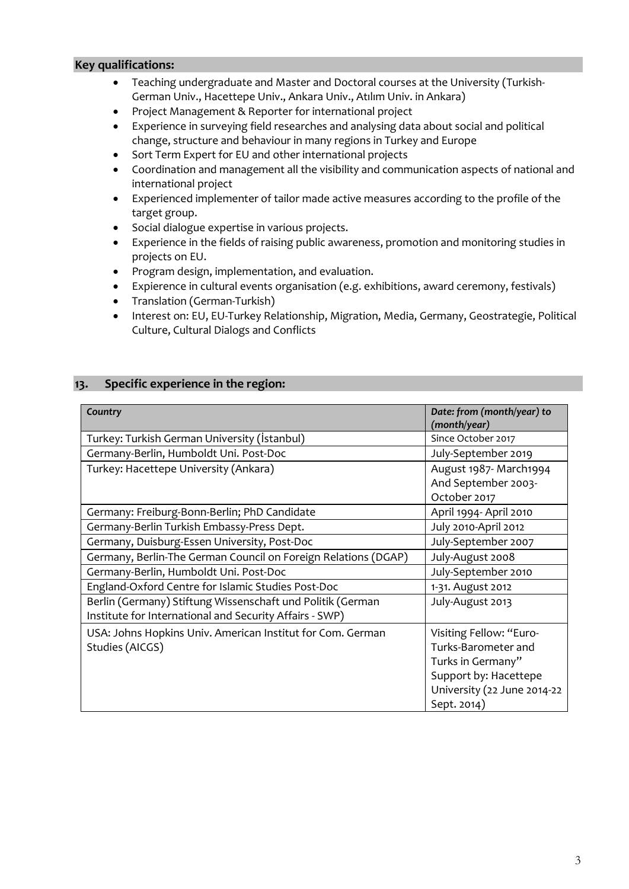#### **Key qualifications:**

- Teaching undergraduate and Master and Doctoral courses at the University (Turkish-German Univ., Hacettepe Univ., Ankara Univ., Atılım Univ. in Ankara)
- Project Management & Reporter for international project
- Experience in surveying field researches and analysing data about social and political change, structure and behaviour in many regions in Turkey and Europe
- Sort Term Expert for EU and other international projects
- Coordination and management all the visibility and communication aspects of national and international project
- Experienced implementer of tailor made active measures according to the profile of the target group.
- Social dialogue expertise in various projects.
- Experience in the fields of raising public awareness, promotion and monitoring studies in projects on EU.
- Program design, implementation, and evaluation.
- Expierence in cultural events organisation (e.g. exhibitions, award ceremony, festivals)
- Translation (German-Turkish)
- Interest on: EU, EU-Turkey Relationship, Migration, Media, Germany, Geostrategie, Political Culture, Cultural Dialogs and Conflicts

### **13. Specific experience in the region:**

| Country                                                        | Date: from (month/year) to<br>(month/year) |  |
|----------------------------------------------------------------|--------------------------------------------|--|
| Turkey: Turkish German University (İstanbul)                   | Since October 2017                         |  |
| Germany-Berlin, Humboldt Uni. Post-Doc                         | July-September 2019                        |  |
| Turkey: Hacettepe University (Ankara)                          | August 1987 - March1994                    |  |
|                                                                | And September 2003-                        |  |
|                                                                | October 2017                               |  |
| Germany: Freiburg-Bonn-Berlin; PhD Candidate                   | April 1994- April 2010                     |  |
| Germany-Berlin Turkish Embassy-Press Dept.                     | July 2010-April 2012                       |  |
| Germany, Duisburg-Essen University, Post-Doc                   | July-September 2007                        |  |
| Germany, Berlin-The German Council on Foreign Relations (DGAP) | July-August 2008                           |  |
| Germany-Berlin, Humboldt Uni. Post-Doc                         | July-September 2010                        |  |
| England-Oxford Centre for Islamic Studies Post-Doc             | 1-31. August 2012                          |  |
| Berlin (Germany) Stiftung Wissenschaft und Politik (German     | July-August 2013                           |  |
| Institute for International and Security Affairs - SWP)        |                                            |  |
| USA: Johns Hopkins Univ. American Institut for Com. German     | Visiting Fellow: "Euro-                    |  |
| Studies (AICGS)                                                | Turks-Barometer and                        |  |
|                                                                | Turks in Germany"                          |  |
|                                                                | Support by: Hacettepe                      |  |
|                                                                | University (22 June 2014-22                |  |
|                                                                | Sept. 2014)                                |  |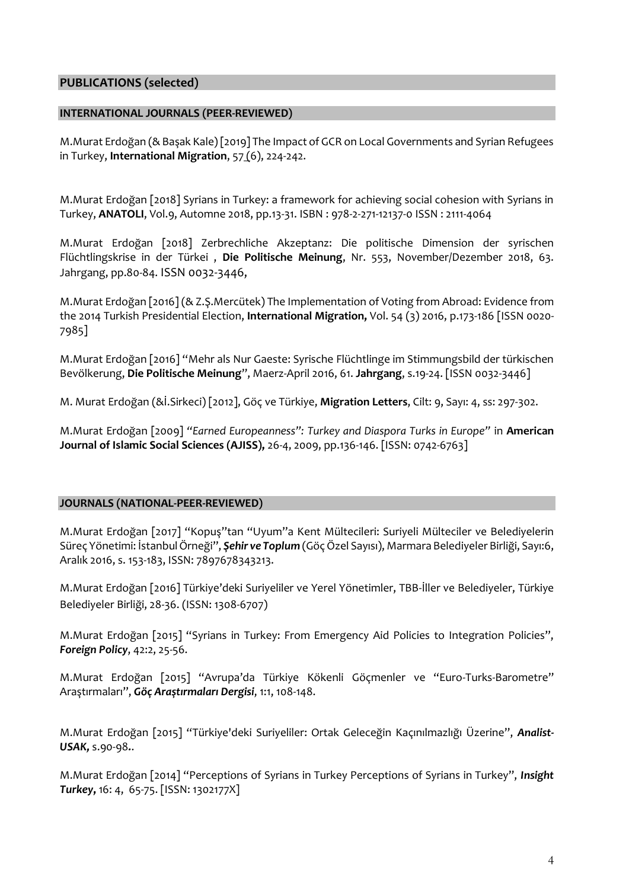### **PUBLICATIONS (selected)**

#### **INTERNATIONAL JOURNALS (PEER-REVIEWED)**

M.Murat Erdoğan (& Başak Kale) [2019] The Impact of GCR on Local Governments and Syrian Refugees in Turkey, **International Migration**, [57](https://onlinelibrary.wiley.com/toc/14682435/2019/57/6) (6), 224-242.

M.Murat Erdoğan [2018] Syrians in Turkey: a framework for achieving social cohesion with Syrians in Turkey, **ANATOLI**, Vol.9, Automne 2018, pp.13-31. ISBN : 978-2-271-12137-0 ISSN : 2111-4064

M.Murat Erdoğan [2018] Zerbrechliche Akzeptanz: Die politische Dimension der syrischen Flüchtlingskrise in der Türkei , **Die Politische Meinung**, Nr. 553, November/Dezember 2018, 63. Jahrgang, pp.80-84. ISSN 0032-3446,

M.Murat Erdoğan [2016] (& Z.Ş.Mercütek) The Implementation of Voting from Abroad: Evidence from the 2014 Turkish Presidential Election, **International Migration,** Vol. 54 (3) 2016, p.173-186 [ISSN 0020- 7985]

M.Murat Erdoğan [2016] "Mehr als Nur Gaeste: Syrische Flüchtlinge im Stimmungsbild der türkischen Bevölkerung, **Die Politische Meinung**", Maerz-April 2016, 61. **Jahrgang**, s.19-24. [ISSN 0032-3446]

M. Murat Erdoğan (&İ.Sirkeci) [2012], Göç ve Türkiye, **Migration Letters**, Cilt: 9, Sayı: 4, ss: 297-302.

M.Murat Erdoğan [2009] *"Earned Europeanness": Turkey and Diaspora Turks in Europe"* in **American Journal of Islamic Social Sciences (AJISS),** 26-4, 2009, pp.136-146. [ISSN: 0742-6763]

#### **JOURNALS (NATIONAL-PEER-REVIEWED)**

M.Murat Erdoğan [2017] "Kopuş"tan "Uyum"a Kent Mültecileri: Suriyeli Mülteciler ve Belediyelerin Süreç Yönetimi: İstanbul Örneği", *Şehir ve Toplum* (Göç Özel Sayısı), Marmara Belediyeler Birliği, Sayı:6, Aralık 2016, s. 153-183, ISSN: 7897678343213.

M.Murat Erdoğan [2016] Türkiye'deki Suriyeliler ve Yerel Yönetimler, TBB-İller ve Belediyeler, Türkiye Belediyeler Birliği, 28-36. (ISSN: 1308-6707)

M.Murat Erdoğan [2015] "Syrians in Turkey: From Emergency Aid Policies to Integration Policies", *Foreign Policy*, 42:2, 25-56.

M.Murat Erdoğan [2015] "Avrupa'da Türkiye Kökenli Göçmenler ve "Euro-Turks-Barometre" Araştırmaları", *Göç Araştırmaları Dergisi*, 1:1, 108-148.

M.Murat Erdoğan [2015] "Türkiye'deki Suriyeliler: Ortak Geleceğin Kaçınılmazlığı Üzerine", *Analist-USAK,* s.90-98*.*.

M.Murat Erdoğan [2014] "Perceptions of Syrians in Turkey Perceptions of Syrians in Turkey", *Insight Turkey***,** 16: 4, 65-75. [ISSN: 1302177X]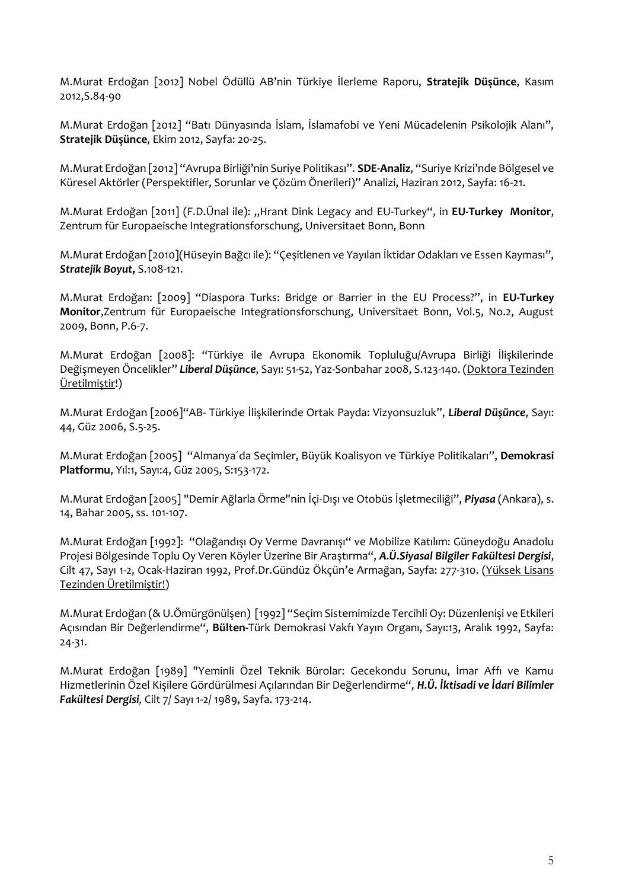M.Murat Erdoğan [2012] Nobel Ödüllü AB'nin Türkiye İlerleme Raporu, **Stratejik Düşünce**, Kasım 2012,S.84-90

M.Murat Erdoğan [2012] "Batı Dünyasında İslam, İslamafobi ve Yeni Mücadelenin Psikolojik Alanı", **Stratejik Düşünce**, Ekim 2012, Sayfa: 20-25.

M.Murat Erdoğan [2012] "Avrupa Birliği'nin Suriye Politikası". **SDE-Analiz**, "Suriye Krizi'nde Bölgesel ve Küresel Aktörler (Perspektifler, Sorunlar ve Çözüm Önerileri)" Analizi, Haziran 2012, Sayfa: 16-21.

M.Murat Erdoğan [2011] (F.D.Ünal ile): "Hrant Dink Legacy and EU-Turkey", in **EU-Turkey Monitor**, Zentrum für Europaeische Integrationsforschung, Universitaet Bonn, Bonn

M.Murat Erdoğan [2010](Hüseyin Bağcı ile): "Çeşitlenen ve Yayılan İktidar Odakları ve Essen Kayması", *Stratejik Boyut***,** S.108-121.

M.Murat Erdoğan: [2009] "Diaspora Turks: Bridge or Barrier in the EU Process?", in **EU-Turkey Monitor**,Zentrum für Europaeische Integrationsforschung, Universitaet Bonn, Vol.5, No.2, August 2009, Bonn, P.6-7.

M.Murat Erdoğan [2008]: "Türkiye ile Avrupa Ekonomik Topluluğu/Avrupa Birliği İlişkilerinde Değişmeyen Öncelikler" *Liberal Düşünce*, Sayı: 51-52, Yaz-Sonbahar 2008, S.123-140. (Doktora Tezinden Üretilmiştir!)

M.Murat Erdoğan [2006]"AB- Türkiye İlişkilerinde Ortak Payda: Vizyonsuzluk", *Liberal Düşünce*, Sayı: 44, Güz 2006, S.5-25.

M.Murat Erdoğan [2005] "Almanya´da Seçimler, Büyük Koalisyon ve Türkiye Politikaları", **Demokrasi Platformu**, Yıl:1, Sayı:4, Güz 2005, S:153-172.

M.Murat Erdoğan [2005] "Demir Ağlarla Örme"nin İçi-Dışı ve Otobüs İşletmeciliği", *Piyasa* (Ankara), s. 14, Bahar 2005, ss. 101-107.

M.Murat Erdoğan [1992]: "Olağandışı Oy Verme Davranışı" ve Mobilize Katılım: Güneydoğu Anadolu Projesi Bölgesinde Toplu Oy Veren Köyler Üzerine Bir Araştırma", *A.Ü.Siyasal Bilgiler Fakültesi Dergisi*, Cilt 47, Sayı 1-2, Ocak-Haziran 1992, Prof.Dr.Gündüz Ökçün'e Armağan, Sayfa: 277-310. (Yüksek Lisans Tezinden Üretilmiştir!)

M.Murat Erdoğan (& U.Ömürgönülşen) [1992] "Seçim Sistemimizde Tercihli Oy: Düzenlenişi ve Etkileri Açısından Bir Değerlendirme", **Bülten-**Türk Demokrasi Vakfı Yayın Organı, Sayı:13, Aralık 1992, Sayfa: 24-31.

M.Murat Erdoğan [1989] "Yeminli Özel Teknik Bürolar: Gecekondu Sorunu, İmar Affı ve Kamu Hizmetlerinin Özel Kişilere Gördürülmesi Açılarından Bir Değerlendirme", *H.Ü. İktisadi ve İdari Bilimler Fakültesi Dergisi,* Cilt 7/ Sayı 1-2/ 1989, Sayfa. 173-214.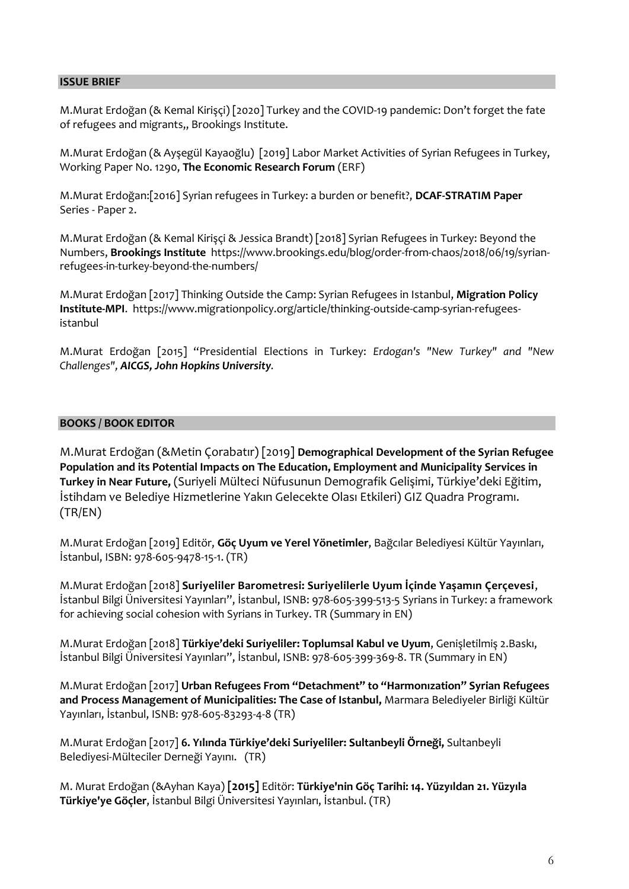#### **ISSUE BRIEF**

M.Murat Erdoğan (& Kemal Kirişçi) [2020] Turkey and the COVID-19 pandemic: Don't forget the fate of refugees and migrants,, Brookings Institute.

M.Murat Erdoğan (& Ayşegül Kayaoğlu) [2019] Labor Market Activities of Syrian Refugees in Turkey, Working Paper No. 1290, **The Economic Research Forum** (ERF)

M.Murat Erdoğan:[2016] Syrian refugees in Turkey: a burden or benefit?, **DCAF-STRATIM Paper** Series - Paper 2.

M.Murat Erdoğan (& Kemal Kirişçi & Jessica Brandt) [2018] Syrian Refugees in Turkey: Beyond the Numbers, **Brookings Institute** [https://www.brookings.edu/blog/order-from-chaos/2018/06/19/syrian](https://www.brookings.edu/blog/order-from-chaos/2018/06/19/syrian-refugees-in-turkey-beyond-the-numbers/)[refugees-in-turkey-beyond-the-numbers/](https://www.brookings.edu/blog/order-from-chaos/2018/06/19/syrian-refugees-in-turkey-beyond-the-numbers/)

M.Murat Erdoğan [2017] Thinking Outside the Camp: Syrian Refugees in Istanbul, **Migration Policy Institute-MPI**. [https://www.migrationpolicy.org/article/thinking-outside-camp-syrian-refugees](https://www.migrationpolicy.org/article/thinking-outside-camp-syrian-refugees-istanbul)[istanbul](https://www.migrationpolicy.org/article/thinking-outside-camp-syrian-refugees-istanbul)

M.Murat Erdoğan [2015] "Presidential Elections in Turkey: *Erdogan's "New Turkey" and "New Challenges", AICGS, John Hopkins University.*

#### **BOOKS / BOOK EDITOR**

M.Murat Erdoğan (&Metin Çorabatır) [2019] **Demographical Development of the Syrian Refugee Population and its Potential Impacts on The Education, Employment and Municipality Services in Turkey in Near Future,** (Suriyeli Mülteci Nüfusunun Demografik Gelişimi, Türkiye'deki Eğitim, İstihdam ve Belediye Hizmetlerine Yakın Gelecekte Olası Etkileri) GIZ Quadra Programı. (TR/EN)

M.Murat Erdoğan [2019] Editör, **Göç Uyum ve Yerel Yönetimler**, Bağcılar Belediyesi Kültür Yayınları, İstanbul, ISBN: 978-605-9478-15-1. (TR)

M.Murat Erdoğan [2018] **Suriyeliler Barometresi: Suriyelilerle Uyum İçinde Yaşamın Çerçevesi**, İstanbul Bilgi Üniversitesi Yayınları", İstanbul, ISNB: 978-605-399-513-5 Syrians in Turkey: a framework for achieving social cohesion with Syrians in Turkey. TR (Summary in EN)

M.Murat Erdoğan [2018] **Türkiye'deki Suriyeliler: Toplumsal Kabul ve Uyum**, Genişletilmiş 2.Baskı, İstanbul Bilgi Üniversitesi Yayınları", İstanbul, ISNB: 978-605-399-369-8. TR (Summary in EN)

M.Murat Erdoğan [2017] **Urban Refugees From "Detachment" to "Harmonızation" Syrian Refugees and Process Management of Municipalities: The Case of Istanbul,** Marmara Belediyeler Birliği Kültür Yayınları, İstanbul, ISNB: 978-605-83293-4-8 (TR)

M.Murat Erdoğan [2017] **6. Yılında Türkiye'deki Suriyeliler: Sultanbeyli Örneği,** Sultanbeyli Belediyesi-Mülteciler Derneği Yayını. (TR)

M. Murat Erdoğan (&Ayhan Kaya) **[2015]** Editör: **Türkiye'nin Göç Tarihi: 14. Yüzyıldan 21. Yüzyıla Türkiye'ye Göçler**, İstanbul Bilgi Üniversitesi Yayınları, İstanbul. (TR)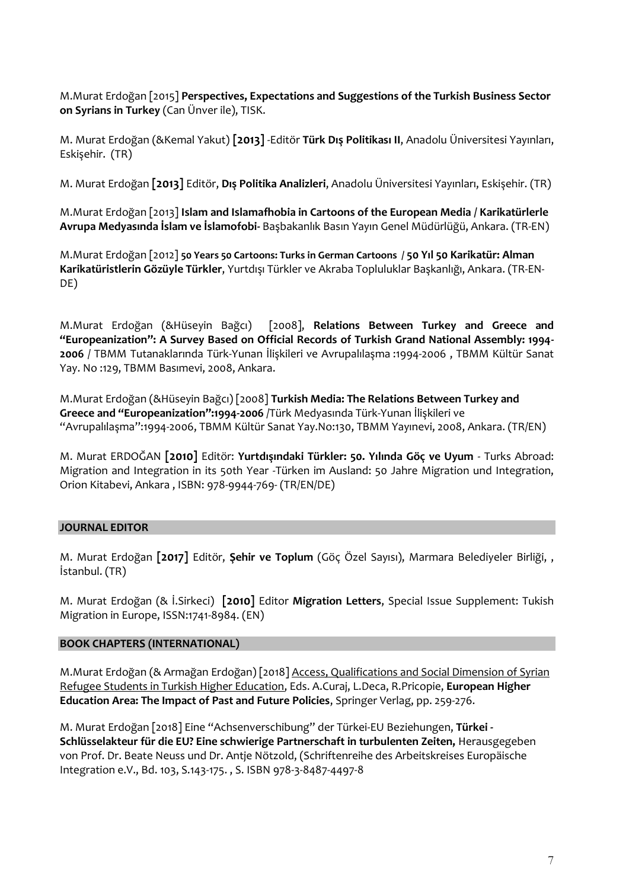M.Murat Erdoğan [2015] **Perspectives, Expectations and Suggestions of the Turkish Business Sector on Syrians in Turkey** (Can Ünver ile), TISK.

M. Murat Erdoğan (&Kemal Yakut) **[2013]** -Editör **Türk Dış Politikası II**, Anadolu Üniversitesi Yayınları, Eskişehir. (TR)

M. Murat Erdoğan **[2013]** Editör, **Dış Politika Analizleri**, Anadolu Üniversitesi Yayınları, Eskişehir. (TR)

M.Murat Erdoğan [2013] **Islam and Islamafhobia in Cartoons of the European Media / Karikatürlerle Avrupa Medyasında İslam ve İslamofobi-** Başbakanlık Basın Yayın Genel Müdürlüğü, Ankara. (TR-EN)

M.Murat Erdoğan [2012] **50 Years 50 Cartoons: Turks in German Cartoons / 50 Yıl 50 Karikatür: Alman Karikatüristlerin Gözüyle Türkler**, Yurtdışı Türkler ve Akraba Topluluklar Başkanlığı, Ankara. (TR-EN-DE)

M.Murat Erdoğan (&Hüseyin Bağcı) [2008], **Relations Between Turkey and Greece and "Europeanization": A Survey Based on Official Records of Turkish Grand National Assembly: 1994- 2006** / TBMM Tutanaklarında Türk-Yunan İlişkileri ve Avrupalılaşma :1994-2006 , TBMM Kültür Sanat Yay. No :129, TBMM Basımevi, 2008, Ankara.

M.Murat Erdoğan (&Hüseyin Bağcı) [2008] **Turkish Media: The Relations Between Turkey and Greece and "Europeanization":1994-2006** /Türk Medyasında Türk-Yunan İlişkileri ve "Avrupalılaşma":1994-2006, TBMM Kültür Sanat Yay.No:130, TBMM Yayınevi, 2008, Ankara. (TR/EN)

M. Murat ERDOĞAN **[2010]** Editör: **Yurtdışındaki Türkler: 50. Yılında Göç ve Uyum** - Turks Abroad: Migration and Integration in its 50th Year -Türken im Ausland: 50 Jahre Migration und Integration, Orion Kitabevi, Ankara , ISBN: 978-9944-769- (TR/EN/DE)

#### **JOURNAL EDITOR**

M. Murat Erdoğan **[2017]** Editör, **Şehir ve Toplum** (Göç Özel Sayısı), Marmara Belediyeler Birliği, , İstanbul. (TR)

M. Murat Erdoğan (& İ.Sirkeci) **[2010]** Editor **Migration Letters**, Special Issue Supplement: Tukish Migration in Europe, ISSN:1741-8984. (EN)

#### **BOOK CHAPTERS (INTERNATIONAL)**

M.Murat Erdoğan (& Armağan Erdoğan) [2018] [Access, Qualifications and Social Dimension of Syrian](https://link.springer.com/chapter/10.1007/978-3-319-77407-7_17)  [Refugee Students in Turkish Higher Education,](https://link.springer.com/chapter/10.1007/978-3-319-77407-7_17) Eds. A.Curaj, L.Deca, R.Pricopie, **European Higher Education Area: The Impact of Past and Future Policies**, Springer Verlag, pp. 259-276.

M. Murat Erdoğan [2018] Eine "Achsenverschibung" der Türkei-EU Beziehungen, **Türkei - Schlüsselakteur für die EU? Eine schwierige Partnerschaft in turbulenten Zeiten,** Herausgegeben von Prof. Dr. Beate Neuss und Dr. Antje Nötzold, (Schriftenreihe des Arbeitskreises Europäische Integration e.V., Bd. 103, S.143-175. , S. ISBN 978-3-8487-4497-8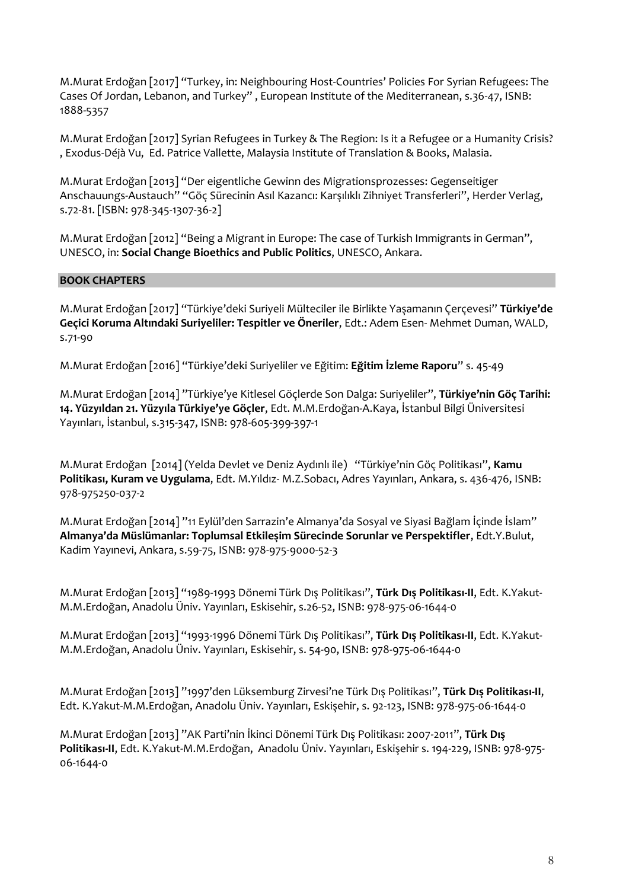M.Murat Erdoğan [2017] "Turkey, in: Neighbouring Host-Countries' Policies For Syrian Refugees: The Cases Of Jordan, Lebanon, and Turkey" , European Institute of the Mediterranean, s.36-47, ISNB: 1888-5357

M.Murat Erdoğan [2017] Syrian Refugees in Turkey & The Region: Is it a Refugee or a Humanity Crisis? , Exodus-Déjà Vu, Ed. Patrice Vallette, Malaysia Institute of Translation & Books, Malasia.

M.Murat Erdoğan [2013] "Der eigentliche Gewinn des Migrationsprozesses: Gegenseitiger Anschauungs-Austauch" "Göç Sürecinin Asıl Kazancı: Karşılıklı Zihniyet Transferleri", Herder Verlag, s.72-81. [ISBN: 978-345-1307-36-2]

M.Murat Erdoğan [2012] "Being a Migrant in Europe: The case of Turkish Immigrants in German", UNESCO, in: **Social Change Bioethics and Public Politics**, UNESCO, Ankara.

## **BOOK CHAPTERS**

M.Murat Erdoğan [2017] "Türkiye'deki Suriyeli Mülteciler ile Birlikte Yaşamanın Çerçevesi" **Türkiye'de Geçici Koruma Altındaki Suriyeliler: Tespitler ve Öneriler**, Edt.: Adem Esen- Mehmet Duman, WALD, s.71-90

M.Murat Erdoğan [2016] "Türkiye'deki Suriyeliler ve Eğitim: **Eğitim İzleme Raporu**" s. 45-49

M.Murat Erdoğan [2014] "Türkiye'ye Kitlesel Göçlerde Son Dalga: Suriyeliler", **Türkiye'nin Göç Tarihi: 14. Yüzyıldan 21. Yüzyıla Türkiye'ye Göçler**, Edt. M.M.Erdoğan-A.Kaya, İstanbul Bilgi Üniversitesi Yayınları, İstanbul, s.315-347, ISNB: 978-605-399-397-1

M.Murat Erdoğan [2014] (Yelda Devlet ve Deniz Aydınlı ile) "Türkiye'nin Göç Politikası", **Kamu Politikası, Kuram ve Uygulama**, Edt. M.Yıldız- M.Z.Sobacı, Adres Yayınları, Ankara, s. 436-476, ISNB: 978-975250-037-2

M.Murat Erdoğan [2014] "11 Eylül'den Sarrazin'e Almanya'da Sosyal ve Siyasi Bağlam İçinde İslam" **Almanya'da Müslümanlar: Toplumsal Etkileşim Sürecinde Sorunlar ve Perspektifler**, Edt.Y.Bulut, Kadim Yayınevi, Ankara, s.59-75, ISNB: 978-975-9000-52-3

M.Murat Erdoğan [2013] "1989-1993 Dönemi Türk Dış Politikası", **Türk Dış Politikası-II**, Edt. K.Yakut-M.M.Erdoğan, Anadolu Üniv. Yayınları, Eskisehir, s.26-52, ISNB: 978-975-06-1644-0

M.Murat Erdoğan [2013] "1993-1996 Dönemi Türk Dış Politikası", **Türk Dış Politikası-II**, Edt. K.Yakut-M.M.Erdoğan, Anadolu Üniv. Yayınları, Eskisehir, s. 54-90, ISNB: 978-975-06-1644-0

M.Murat Erdoğan [2013] "1997'den Lüksemburg Zirvesi'ne Türk Dış Politikası", **Türk Dış Politikası-II**, Edt. K.Yakut-M.M.Erdoğan, Anadolu Üniv. Yayınları, Eskişehir, s. 92-123, ISNB: 978-975-06-1644-0

M.Murat Erdoğan [2013] "AK Parti'nin İkinci Dönemi Türk Dış Politikası: 2007-2011", **Türk Dış Politikası-II**, Edt. K.Yakut-M.M.Erdoğan, Anadolu Üniv. Yayınları, Eskişehir s. 194-229, ISNB: 978-975- 06-1644-0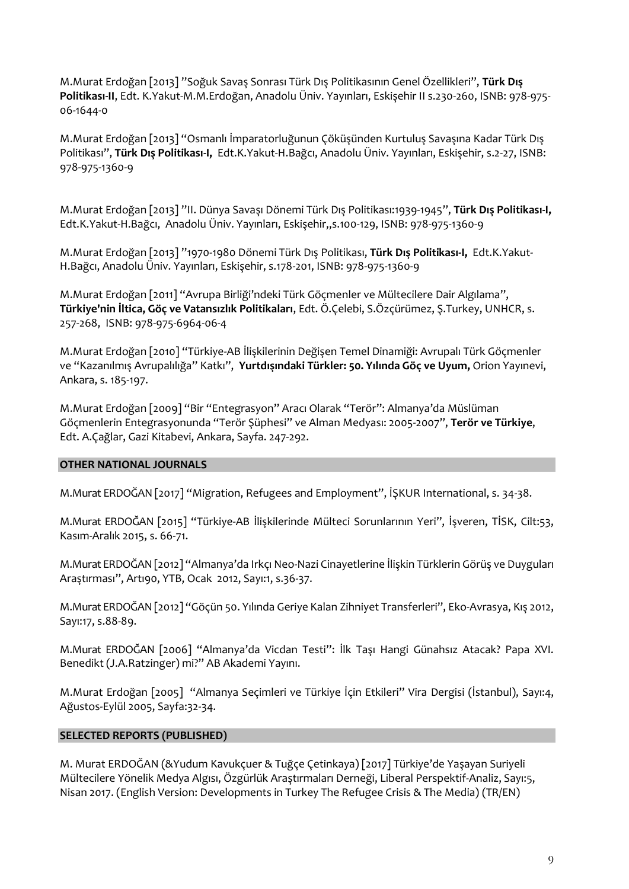M.Murat Erdoğan [2013] "Soğuk Savaş Sonrası Türk Dış Politikasının Genel Özellikleri", **Türk Dış Politikası-II**, Edt. K.Yakut-M.M.Erdoğan, Anadolu Üniv. Yayınları, Eskişehir II s.230-260, ISNB: 978-975- 06-1644-0

M.Murat Erdoğan [2013] "Osmanlı İmparatorluğunun Çöküşünden Kurtuluş Savaşına Kadar Türk Dış Politikası", **Türk Dış Politikası-I,** Edt.K.Yakut-H.Bağcı, Anadolu Üniv. Yayınları, Eskişehir, s.2-27, ISNB: 978-975-1360-9

M.Murat Erdoğan [2013] "II. Dünya Savaşı Dönemi Türk Dış Politikası:1939-1945", **Türk Dış Politikası-I,**  Edt.K.Yakut-H.Bağcı, Anadolu Üniv. Yayınları, Eskişehir,,s.100-129, ISNB: 978-975-1360-9

M.Murat Erdoğan [2013] "1970-1980 Dönemi Türk Dış Politikası, **Türk Dış Politikası-I,** Edt.K.Yakut-H.Bağcı, Anadolu Üniv. Yayınları, Eskişehir, s.178-201, ISNB: 978-975-1360-9

M.Murat Erdoğan [2011] "Avrupa Birliği'ndeki Türk Göçmenler ve Mültecilere Dair Algılama", **Türkiye'nin İltica, Göç ve Vatansızlık Politikaları**, Edt. Ö.Çelebi, S.Özçürümez, Ş.Turkey, UNHCR, s. 257-268, ISNB: 978-975-6964-06-4

M.Murat Erdoğan [2010] "Türkiye-AB İlişkilerinin Değişen Temel Dinamiği: Avrupalı Türk Göçmenler ve "Kazanılmış Avrupalılığa" Katkı", **Yurtdışındaki Türkler: 50. Yılında Göç ve Uyum,** Orion Yayınevi, Ankara, s. 185-197.

M.Murat Erdoğan [2009] "Bir "Entegrasyon" Aracı Olarak "Terör": Almanya'da Müslüman Göçmenlerin Entegrasyonunda "Terör Şüphesi" ve Alman Medyası: 2005-2007", **Terör ve Türkiye**, Edt. A.Çağlar, Gazi Kitabevi, Ankara, Sayfa. 247-292.

#### **OTHER NATIONAL JOURNALS**

M.Murat ERDOĞAN [2017] "Migration, Refugees and Employment", İŞKUR International, s. 34-38.

M.Murat ERDOĞAN [2015] "Türkiye-AB İlişkilerinde Mülteci Sorunlarının Yeri", İşveren, TİSK, Cilt:53, Kasım-Aralık 2015, s. 66-71.

M.Murat ERDOĞAN [2012] "Almanya'da Irkçı Neo-Nazi Cinayetlerine İlişkin Türklerin Görüş ve Duyguları Araştırması", Artı90, YTB, Ocak 2012, Sayı:1, s.36-37.

M.Murat ERDOĞAN [2012] "Göçün 50. Yılında Geriye Kalan Zihniyet Transferleri", Eko-Avrasya, Kış 2012, Sayı:17, s.88-89.

M.Murat ERDOĞAN [2006] "Almanya'da Vicdan Testi": İlk Taşı Hangi Günahsız Atacak? Papa XVI. Benedikt (J.A.Ratzinger) mi?" AB Akademi Yayını.

M.Murat Erdoğan [2005] "Almanya Seçimleri ve Türkiye İçin Etkileri" Vira Dergisi (İstanbul), Sayı:4, Ağustos-Eylül 2005, Sayfa:32-34.

#### **SELECTED REPORTS (PUBLISHED)**

M. Murat ERDOĞAN (&Yudum Kavukçuer & Tuğçe Çetinkaya) [2017] Türkiye'de Yaşayan Suriyeli Mültecilere Yönelik Medya Algısı, Özgürlük Araştırmaları Derneği, Liberal Perspektif-Analiz, Sayı:5, Nisan 2017. (English Version: Developments in Turkey The Refugee Crisis & The Media) (TR/EN)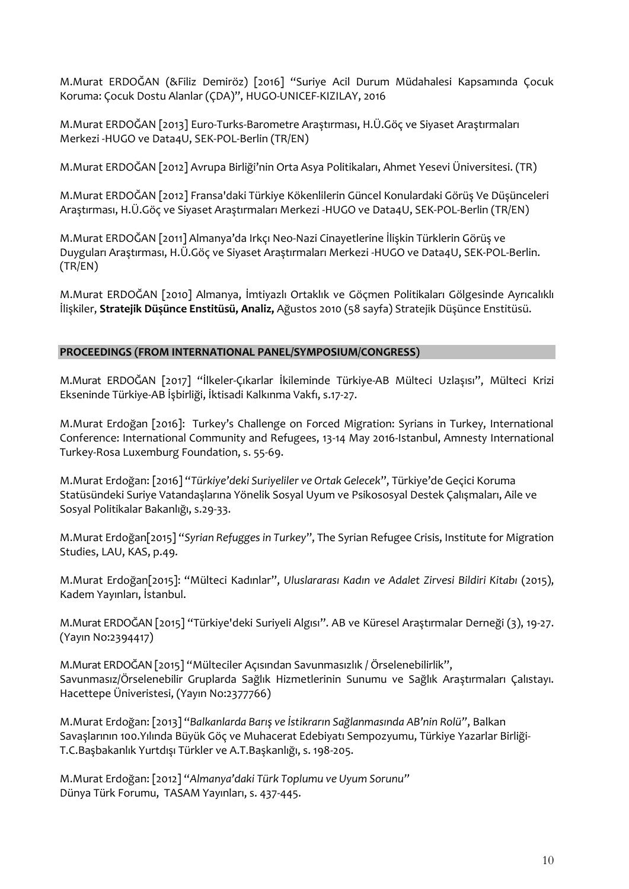M.Murat ERDOĞAN (&Filiz Demiröz) [2016] "Suriye Acil Durum Müdahalesi Kapsamında Çocuk Koruma: Çocuk Dostu Alanlar (ÇDA)", HUGO-UNICEF-KIZILAY, 2016

M.Murat ERDOĞAN [2013] Euro-Turks-Barometre Araştırması, H.Ü.Göç ve Siyaset Araştırmaları Merkezi -HUGO ve Data4U, SEK-POL-Berlin (TR/EN)

M.Murat ERDOĞAN [2012] Avrupa Birliği'nin Orta Asya Politikaları, Ahmet Yesevi Üniversitesi. (TR)

M.Murat ERDOĞAN [2012] Fransa'daki Türkiye Kökenlilerin Güncel Konulardaki Görüş Ve Düşünceleri Araştırması, H.Ü.Göç ve Siyaset Araştırmaları Merkezi -HUGO ve Data4U, SEK-POL-Berlin (TR/EN)

M.Murat ERDOĞAN [2011] Almanya'da Irkçı Neo-Nazi Cinayetlerine İlişkin Türklerin Görüş ve Duyguları Araştırması, H.Ü.Göç ve Siyaset Araştırmaları Merkezi -HUGO ve Data4U, SEK-POL-Berlin. (TR/EN)

M.Murat ERDOĞAN [2010] Almanya, İmtiyazlı Ortaklık ve Göçmen Politikaları Gölgesinde Ayrıcalıklı İlişkiler, **Stratejik Düşünce Enstitüsü, Analiz,** Ağustos 2010 (58 sayfa) Stratejik Düşünce Enstitüsü.

#### **PROCEEDINGS (FROM INTERNATIONAL PANEL/SYMPOSIUM/CONGRESS)**

M.Murat ERDOĞAN [2017] "İlkeler-Çıkarlar İkileminde Türkiye-AB Mülteci Uzlaşısı", Mülteci Krizi Ekseninde Türkiye-AB İşbirliği, İktisadi Kalkınma Vakfı, s.17-27.

M.Murat Erdoğan [2016]: Turkey's Challenge on Forced Migration: Syrians in Turkey, International Conference: International Community and Refugees, 13-14 May 2016-Istanbul, Amnesty International Turkey-Rosa Luxemburg Foundation, s. 55-69.

M.Murat Erdoğan: [2016] "*Türkiye'deki Suriyeliler ve Ortak Gelecek*", Türkiye'de Geçici Koruma Statüsündeki Suriye Vatandaşlarına Yönelik Sosyal Uyum ve Psikososyal Destek Çalışmaları, Aile ve Sosyal Politikalar Bakanlığı, s.29-33.

M.Murat Erdoğan[2015] "*Syrian Refugges in Turkey*", The Syrian Refugee Crisis, Institute for Migration Studies, LAU, KAS, p.49.

M.Murat Erdoğan[2015]: "Mülteci Kadınlar", *Uluslararası Kadın ve Adalet Zirvesi Bildiri Kitabı* (2015), Kadem Yayınları, İstanbul.

M.Murat ERDOĞAN [2015] "Türkiye'deki Suriyeli Algısı". AB ve Küresel Araştırmalar Derneği (3), 19-27. (Yayın No:2394417)

M.Murat ERDOĞAN [2015] "Mülteciler Açısından Savunmasızlık / Örselenebilirlik", Savunmasız/Örselenebilir Gruplarda Sağlık Hizmetlerinin Sunumu ve Sağlık Araştırmaları Çalıstayı. Hacettepe Üniveristesi, (Yayın No:2377766)

M.Murat Erdoğan: [2013] "*Balkanlarda Barış ve İstikrarın Sağlanmasında AB'nin Rolü"*, Balkan Savaşlarının 100.Yılında Büyük Göç ve Muhacerat Edebiyatı Sempozyumu, Türkiye Yazarlar Birliği-T.C.Başbakanlık Yurtdışı Türkler ve A.T.Başkanlığı, s. 198-205.

M.Murat Erdoğan: [2012] "*Almanya'daki Türk Toplumu ve Uyum Sorunu"* Dünya Türk Forumu, TASAM Yayınları, s. 437-445.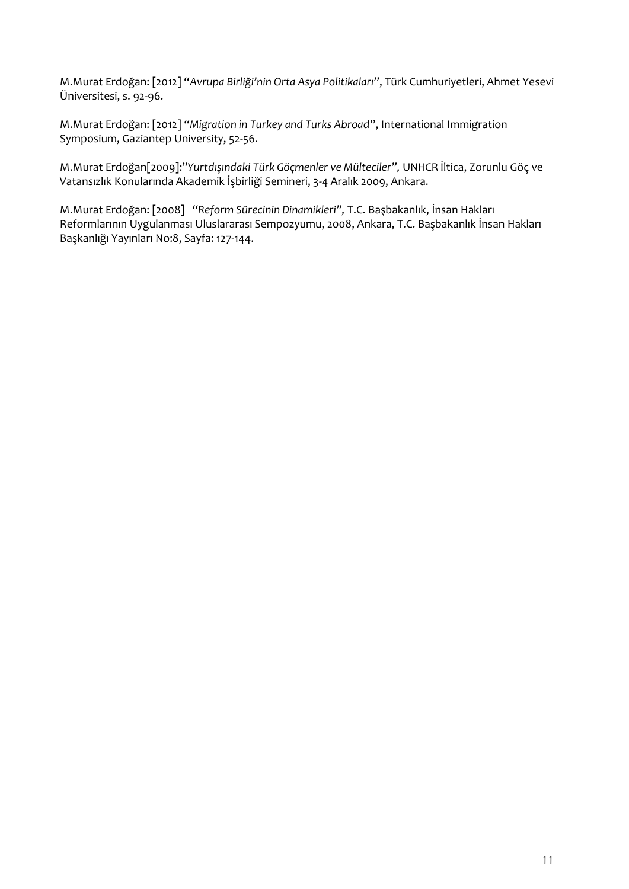M.Murat Erdoğan: [2012] "*Avrupa Birliği'nin Orta Asya Politikaları*", Türk Cumhuriyetleri, Ahmet Yesevi Üniversitesi, s. 92-96.

M.Murat Erdoğan: [2012] *"Migration in Turkey and Turks Abroad*", International Immigration Symposium, Gaziantep University, 52-56.

M.Murat Erdoğan[2009]:"*Yurtdışındaki Türk Göçmenler ve Mülteciler",* UNHCR İltica, Zorunlu Göç ve Vatansızlık Konularında Akademik İşbirliği Semineri, 3-4 Aralık 2009, Ankara.

M.Murat Erdoğan: [2008] *"Reform Sürecinin Dinamikleri",* T.C. Başbakanlık, İnsan Hakları Reformlarının Uygulanması Uluslararası Sempozyumu, 2008, Ankara, T.C. Başbakanlık İnsan Hakları Başkanlığı Yayınları No:8, Sayfa: 127-144.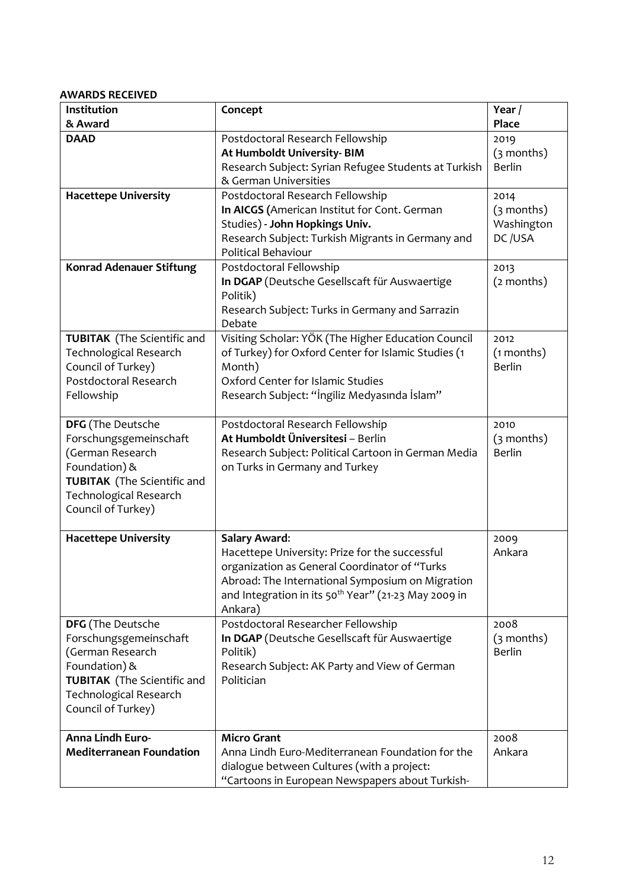# **AWARDS RECEIVED**

| Institution                        | Concept                                                          | Year /        |
|------------------------------------|------------------------------------------------------------------|---------------|
| & Award                            |                                                                  | <b>Place</b>  |
| <b>DAAD</b>                        | Postdoctoral Research Fellowship                                 | 2019          |
|                                    | At Humboldt University-BIM                                       | $(3$ months)  |
|                                    | Research Subject: Syrian Refugee Students at Turkish             | <b>Berlin</b> |
|                                    | & German Universities                                            |               |
| <b>Hacettepe University</b>        | Postdoctoral Research Fellowship                                 | 2014          |
|                                    | In AICGS (American Institut for Cont. German                     | $(3$ months)  |
|                                    | Studies) - John Hopkings Univ.                                   | Washington    |
|                                    | Research Subject: Turkish Migrants in Germany and                | DC/USA        |
|                                    | Political Behaviour                                              |               |
| <b>Konrad Adenauer Stiftung</b>    | Postdoctoral Fellowship                                          | 2013          |
|                                    | In DGAP (Deutsche Gesellscaft für Auswaertige                    | (2 months)    |
|                                    | Politik)                                                         |               |
|                                    | Research Subject: Turks in Germany and Sarrazin                  |               |
|                                    | Debate                                                           |               |
| <b>TUBITAK</b> (The Scientific and | Visiting Scholar: YÖK (The Higher Education Council              | 2012          |
| <b>Technological Research</b>      | of Turkey) for Oxford Center for Islamic Studies (1              | (1 months)    |
| Council of Turkey)                 | Month)                                                           | <b>Berlin</b> |
| Postdoctoral Research              | Oxford Center for Islamic Studies                                |               |
| Fellowship                         | Research Subject: "Ingiliz Medyasında İslam"                     |               |
|                                    |                                                                  |               |
| <b>DFG</b> (The Deutsche           | Postdoctoral Research Fellowship                                 | 2010          |
| Forschungsgemeinschaft             | At Humboldt Üniversitesi - Berlin                                | $(3$ months)  |
| (German Research                   | Research Subject: Political Cartoon in German Media              | <b>Berlin</b> |
| Foundation) &                      | on Turks in Germany and Turkey                                   |               |
| <b>TUBITAK</b> (The Scientific and |                                                                  |               |
| <b>Technological Research</b>      |                                                                  |               |
| Council of Turkey)                 |                                                                  |               |
| <b>Hacettepe University</b>        | <b>Salary Award:</b>                                             | 2009          |
|                                    | Hacettepe University: Prize for the successful                   | Ankara        |
|                                    | organization as General Coordinator of "Turks                    |               |
|                                    | Abroad: The International Symposium on Migration                 |               |
|                                    | and Integration in its 50 <sup>th</sup> Year" (21-23 May 2009 in |               |
|                                    | Ankara)                                                          |               |
| <b>DFG</b> (The Deutsche           | Postdoctoral Researcher Fellowship                               | 2008          |
| Forschungsgemeinschaft             | In DGAP (Deutsche Gesellscaft für Auswaertige                    | $(3$ months)  |
| (German Research                   | Politik)                                                         | <b>Berlin</b> |
| Foundation) &                      | Research Subject: AK Party and View of German                    |               |
| <b>TUBITAK</b> (The Scientific and | Politician                                                       |               |
| <b>Technological Research</b>      |                                                                  |               |
| Council of Turkey)                 |                                                                  |               |
|                                    |                                                                  |               |
| Anna Lindh Euro-                   | <b>Micro Grant</b>                                               | 2008          |
| <b>Mediterranean Foundation</b>    | Anna Lindh Euro-Mediterranean Foundation for the                 | Ankara        |
|                                    | dialogue between Cultures (with a project:                       |               |
|                                    | "Cartoons in European Newspapers about Turkish-                  |               |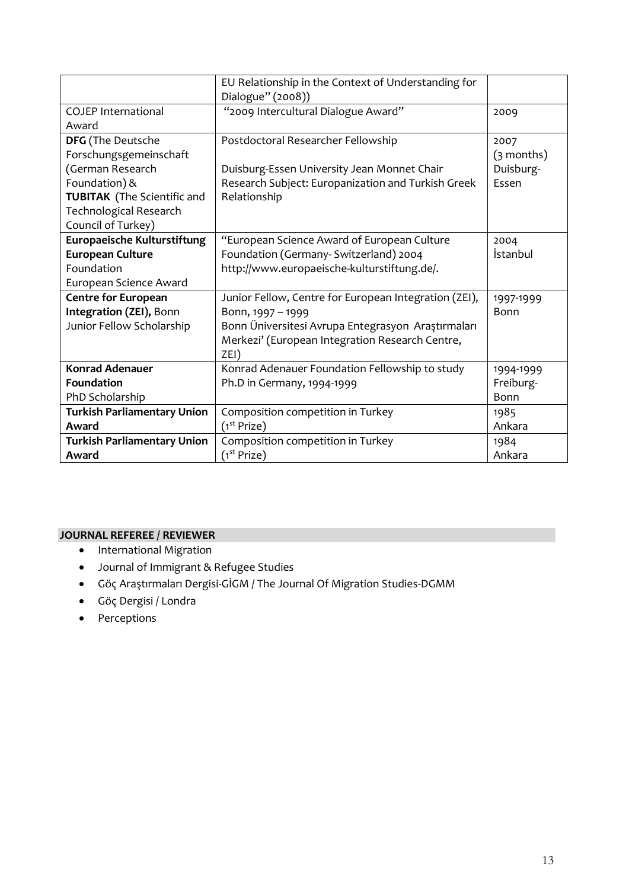|                                    | EU Relationship in the Context of Understanding for<br>Dialogue" (2008)) |              |
|------------------------------------|--------------------------------------------------------------------------|--------------|
| <b>COJEP International</b>         | "2009 Intercultural Dialogue Award"                                      | 2009         |
| Award                              |                                                                          |              |
| <b>DFG</b> (The Deutsche           | Postdoctoral Researcher Fellowship                                       | 2007         |
| Forschungsgemeinschaft             |                                                                          | $(3$ months) |
| (German Research                   | Duisburg-Essen University Jean Monnet Chair                              | Duisburg-    |
| Foundation) &                      | Research Subject: Europanization and Turkish Greek                       | Essen        |
| <b>TUBITAK</b> (The Scientific and | Relationship                                                             |              |
| Technological Research             |                                                                          |              |
| Council of Turkey)                 |                                                                          |              |
| Europaeische Kulturstiftung        | "European Science Award of European Culture                              | 2004         |
| <b>European Culture</b>            | Foundation (Germany- Switzerland) 2004                                   | İstanbul     |
| Foundation                         | http://www.europaeische-kulturstiftung.de/.                              |              |
| European Science Award             |                                                                          |              |
| <b>Centre for European</b>         | Junior Fellow, Centre for European Integration (ZEI),                    | 1997-1999    |
| Integration (ZEI), Bonn            | Bonn, 1997 - 1999                                                        | <b>Bonn</b>  |
| Junior Fellow Scholarship          | Bonn Üniversitesi Avrupa Entegrasyon Araştırmaları                       |              |
|                                    | Merkezi' (European Integration Research Centre,                          |              |
|                                    | ZEI)                                                                     |              |
| <b>Konrad Adenauer</b>             | Konrad Adenauer Foundation Fellowship to study                           | 1994-1999    |
| <b>Foundation</b>                  | Ph.D in Germany, 1994-1999                                               | Freiburg-    |
| PhD Scholarship                    |                                                                          | Bonn         |
| <b>Turkish Parliamentary Union</b> | Composition competition in Turkey                                        | 1985         |
| Award                              | (1 <sup>st</sup> Prize)                                                  | Ankara       |
| <b>Turkish Parliamentary Union</b> | Composition competition in Turkey                                        | 1984         |
| Award                              | (1 <sup>st</sup> Prize)                                                  | Ankara       |

## **JOURNAL REFEREE / REVIEWER**

- **•** International Migration
- Journal of Immigrant & Refugee Studies
- Göç Araştırmaları Dergisi-GİGM / The Journal Of Migration Studies-DGMM
- Göç Dergisi / Londra
- Perceptions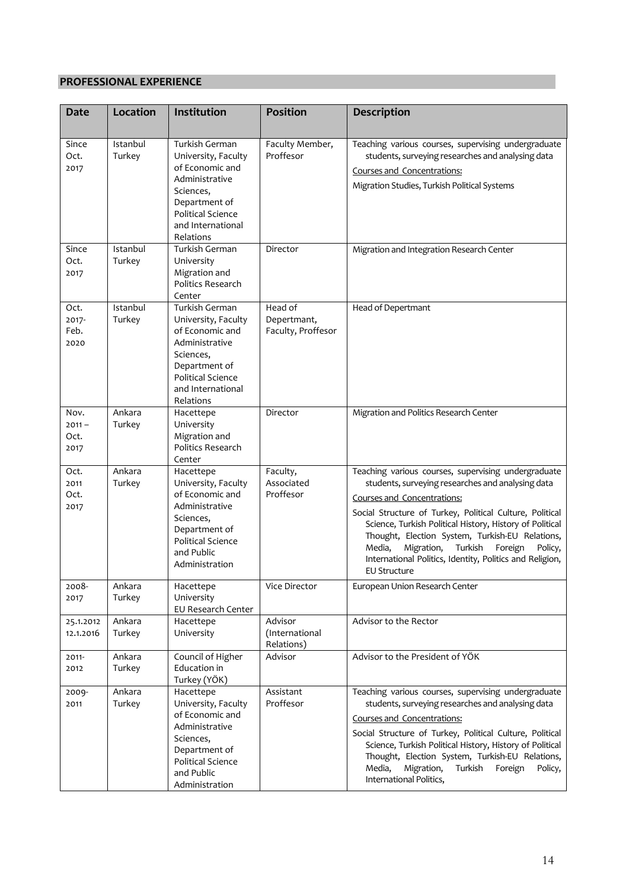## **PROFESSIONAL EXPERIENCE**

| <b>Date</b>                      | Location           | Institution                                                                                                                                                            | <b>Position</b>                              | <b>Description</b>                                                                                                                                                                                                                                                                                                                                                                                                                                             |
|----------------------------------|--------------------|------------------------------------------------------------------------------------------------------------------------------------------------------------------------|----------------------------------------------|----------------------------------------------------------------------------------------------------------------------------------------------------------------------------------------------------------------------------------------------------------------------------------------------------------------------------------------------------------------------------------------------------------------------------------------------------------------|
|                                  |                    |                                                                                                                                                                        |                                              |                                                                                                                                                                                                                                                                                                                                                                                                                                                                |
| Since<br>Oct.<br>2017            | Istanbul<br>Turkey | Turkish German<br>University, Faculty<br>of Economic and                                                                                                               | Faculty Member,<br>Proffesor                 | Teaching various courses, supervising undergraduate<br>students, surveying researches and analysing data<br>Courses and Concentrations:                                                                                                                                                                                                                                                                                                                        |
|                                  |                    | Administrative<br>Sciences,<br>Department of<br><b>Political Science</b><br>and International<br>Relations                                                             |                                              | Migration Studies, Turkish Political Systems                                                                                                                                                                                                                                                                                                                                                                                                                   |
| Since<br>Oct.<br>2017            | Istanbul<br>Turkey | Turkish German<br>University<br>Migration and<br>Politics Research<br>Center                                                                                           | Director                                     | Migration and Integration Research Center                                                                                                                                                                                                                                                                                                                                                                                                                      |
| Oct.<br>2017-<br>Feb.<br>2020    | Istanbul<br>Turkey | Turkish German<br>University, Faculty<br>of Economic and<br>Administrative<br>Sciences,<br>Department of<br><b>Political Science</b><br>and International<br>Relations | Head of<br>Depertmant,<br>Faculty, Proffesor | Head of Depertmant                                                                                                                                                                                                                                                                                                                                                                                                                                             |
| Nov.<br>$2011 -$<br>Oct.<br>2017 | Ankara<br>Turkey   | Hacettepe<br>University<br>Migration and<br>Politics Research<br>Center                                                                                                | Director                                     | Migration and Politics Research Center                                                                                                                                                                                                                                                                                                                                                                                                                         |
| Oct.<br>2011<br>Oct.<br>2017     | Ankara<br>Turkey   | Hacettepe<br>University, Faculty<br>of Economic and<br>Administrative<br>Sciences,<br>Department of<br><b>Political Science</b><br>and Public<br>Administration        | Faculty,<br>Associated<br>Proffesor          | Teaching various courses, supervising undergraduate<br>students, surveying researches and analysing data<br>Courses and Concentrations:<br>Social Structure of Turkey, Political Culture, Political<br>Science, Turkish Political History, History of Political<br>Thought, Election System, Turkish-EU Relations,<br>Media,<br>Migration,<br>Turkish<br>Foreign<br>Policy,<br>International Politics, Identity, Politics and Religion,<br><b>EU Structure</b> |
| 2008-<br>2017                    | Ankara<br>Turkey   | Hacettepe<br>University<br>EU Research Center                                                                                                                          | Vice Director                                | European Union Research Center                                                                                                                                                                                                                                                                                                                                                                                                                                 |
| 25.1.2012<br>12.1.2016           | Ankara<br>Turkey   | Hacettepe<br>University                                                                                                                                                | Advisor<br>(International<br>Relations)      | Advisor to the Rector                                                                                                                                                                                                                                                                                                                                                                                                                                          |
| 2011-<br>2012                    | Ankara<br>Turkey   | Council of Higher<br>Education in<br>Turkey (YÖK)                                                                                                                      | Advisor                                      | Advisor to the President of YÖK                                                                                                                                                                                                                                                                                                                                                                                                                                |
| 2009-<br>2011                    | Ankara<br>Turkey   | Hacettepe<br>University, Faculty<br>of Economic and<br>Administrative                                                                                                  | Assistant<br>Proffesor                       | Teaching various courses, supervising undergraduate<br>students, surveying researches and analysing data<br>Courses and Concentrations:                                                                                                                                                                                                                                                                                                                        |
|                                  |                    | Sciences,<br>Department of<br>Political Science<br>and Public<br>Administration                                                                                        |                                              | Social Structure of Turkey, Political Culture, Political<br>Science, Turkish Political History, History of Political<br>Thought, Election System, Turkish-EU Relations,<br>Media,<br>Migration,<br>Turkish<br>Foreign<br>Policy,<br>International Politics,                                                                                                                                                                                                    |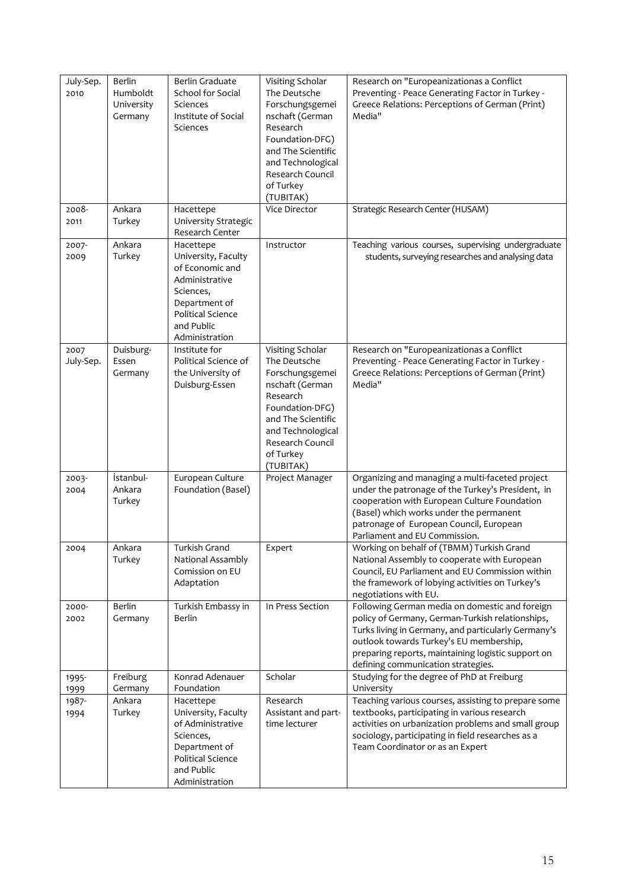| July-Sep.<br>2010 | <b>Berlin</b><br>Humboldt<br>University<br>Germany | Berlin Graduate<br>School for Social<br>Sciences<br>Institute of Social<br>Sciences                                                                             | Visiting Scholar<br>The Deutsche<br>Forschungsgemei<br>nschaft (German<br>Research<br>Foundation-DFG)<br>and The Scientific<br>and Technological<br>Research Council<br>of Turkey<br>(TUBITAK) | Research on "Europeanizationas a Conflict<br>Preventing - Peace Generating Factor in Turkey -<br>Greece Relations: Perceptions of German (Print)<br>Media"                                                                                                                                       |
|-------------------|----------------------------------------------------|-----------------------------------------------------------------------------------------------------------------------------------------------------------------|------------------------------------------------------------------------------------------------------------------------------------------------------------------------------------------------|--------------------------------------------------------------------------------------------------------------------------------------------------------------------------------------------------------------------------------------------------------------------------------------------------|
| 2008-<br>2011     | Ankara<br>Turkey                                   | Hacettepe<br>University Strategic<br>Research Center                                                                                                            | Vice Director                                                                                                                                                                                  | Strategic Research Center (HUSAM)                                                                                                                                                                                                                                                                |
| 2007-<br>2009     | Ankara<br>Turkey                                   | Hacettepe<br>University, Faculty<br>of Economic and<br>Administrative<br>Sciences,<br>Department of<br><b>Political Science</b><br>and Public<br>Administration | Instructor                                                                                                                                                                                     | Teaching various courses, supervising undergraduate<br>students, surveying researches and analysing data                                                                                                                                                                                         |
| 2007<br>July-Sep. | Duisburg-<br>Essen<br>Germany                      | Institute for<br>Political Science of<br>the University of<br>Duisburg-Essen                                                                                    | Visiting Scholar<br>The Deutsche<br>Forschungsgemei<br>nschaft (German<br>Research<br>Foundation-DFG)<br>and The Scientific<br>and Technological<br>Research Council<br>of Turkey<br>(TUBITAK) | Research on "Europeanizationas a Conflict<br>Preventing - Peace Generating Factor in Turkey -<br>Greece Relations: Perceptions of German (Print)<br>Media"                                                                                                                                       |
| 2003-<br>2004     | İstanbul-<br>Ankara<br>Turkey                      | European Culture<br>Foundation (Basel)                                                                                                                          | Project Manager                                                                                                                                                                                | Organizing and managing a multi-faceted project<br>under the patronage of the Turkey's President, in<br>cooperation with European Culture Foundation<br>(Basel) which works under the permanent<br>patronage of European Council, European<br>Parliament and EU Commission.                      |
| 2004              | Ankara<br>Turkey                                   | Turkish Grand<br>National Assambly<br>Comission on EU<br>Adaptation                                                                                             | Expert                                                                                                                                                                                         | Working on behalf of (TBMM) Turkish Grand<br>National Assembly to cooperate with European<br>Council, EU Parliament and EU Commission within<br>the framework of lobying activities on Turkey's<br>negotiations with EU.                                                                         |
| 2000-<br>2002     | <b>Berlin</b><br>Germany                           | Turkish Embassy in<br>Berlin                                                                                                                                    | In Press Section                                                                                                                                                                               | Following German media on domestic and foreign<br>policy of Germany, German-Turkish relationships,<br>Turks living in Germany, and particularly Germany's<br>outlook towards Turkey's EU membership,<br>preparing reports, maintaining logistic support on<br>defining communication strategies. |
| 1995-<br>1999     | Freiburg<br>Germany                                | Konrad Adenauer<br>Foundation                                                                                                                                   | Scholar                                                                                                                                                                                        | Studying for the degree of PhD at Freiburg<br>University                                                                                                                                                                                                                                         |
| 1987-<br>1994     | Ankara<br>Turkey                                   | Hacettepe<br>University, Faculty<br>of Administrative<br>Sciences,<br>Department of<br>Political Science<br>and Public<br>Administration                        | Research<br>Assistant and part-<br>time lecturer                                                                                                                                               | Teaching various courses, assisting to prepare some<br>textbooks, participating in various research<br>activities on urbanization problems and small group<br>sociology, participating in field researches as a<br>Team Coordinator or as an Expert                                              |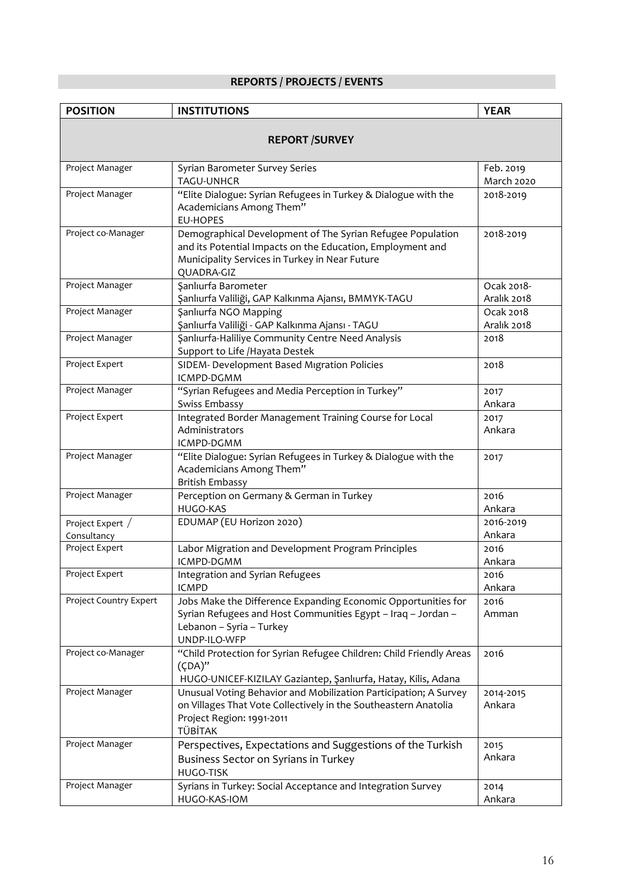# **REPORTS / PROJECTS / EVENTS**

| <b>POSITION</b>                 | <b>INSTITUTIONS</b>                                                                                                                                                                      | <b>YEAR</b>               |  |
|---------------------------------|------------------------------------------------------------------------------------------------------------------------------------------------------------------------------------------|---------------------------|--|
| <b>REPORT /SURVEY</b>           |                                                                                                                                                                                          |                           |  |
| Project Manager                 | Syrian Barometer Survey Series<br><b>TAGU-UNHCR</b>                                                                                                                                      | Feb. 2019<br>March 2020   |  |
| Project Manager                 | "Elite Dialogue: Syrian Refugees in Turkey & Dialogue with the<br>Academicians Among Them"<br><b>EU-HOPES</b>                                                                            | 2018-2019                 |  |
| Project co-Manager              | Demographical Development of The Syrian Refugee Population<br>and its Potential Impacts on the Education, Employment and<br>Municipality Services in Turkey in Near Future<br>QUADRA-GIZ | 2018-2019                 |  |
| Project Manager                 | Şanlıurfa Barometer<br>Şanlıurfa Valiliği, GAP Kalkınma Ajansı, BMMYK-TAGU                                                                                                               | Ocak 2018-<br>Aralık 2018 |  |
| Project Manager                 | Şanlıurfa NGO Mapping<br>Şanlıurfa Valiliği - GAP Kalkınma Ajansı - TAGU                                                                                                                 | Ocak 2018<br>Aralık 2018  |  |
| Project Manager                 | Sanlıurfa-Haliliye Community Centre Need Analysis<br>Support to Life / Hayata Destek                                                                                                     | 2018                      |  |
| Project Expert                  | SIDEM- Development Based Migration Policies<br>ICMPD-DGMM                                                                                                                                | 2018                      |  |
| Project Manager                 | "Syrian Refugees and Media Perception in Turkey"<br>Swiss Embassy                                                                                                                        | 2017<br>Ankara            |  |
| Project Expert                  | Integrated Border Management Training Course for Local<br>Administrators<br>ICMPD-DGMM                                                                                                   | 2017<br>Ankara            |  |
| Project Manager                 | "Elite Dialogue: Syrian Refugees in Turkey & Dialogue with the<br>Academicians Among Them"<br><b>British Embassy</b>                                                                     | 2017                      |  |
| Project Manager                 | Perception on Germany & German in Turkey<br><b>HUGO-KAS</b>                                                                                                                              | 2016<br>Ankara            |  |
| Project Expert /<br>Consultancy | EDUMAP (EU Horizon 2020)                                                                                                                                                                 | 2016-2019<br>Ankara       |  |
| Project Expert                  | Labor Migration and Development Program Principles<br>ICMPD-DGMM                                                                                                                         | 2016<br>Ankara            |  |
| Project Expert                  | Integration and Syrian Refugees<br><b>ICMPD</b>                                                                                                                                          | 2016<br>Ankara            |  |
| Project Country Expert          | Jobs Make the Difference Expanding Economic Opportunities for<br>Syrian Refugees and Host Communities Egypt - Iraq - Jordan -<br>Lebanon - Syria - Turkey<br>UNDP-ILO-WFP                | 2016<br>Amman             |  |
| Project co-Manager              | "Child Protection for Syrian Refugee Children: Child Friendly Areas<br>$(CDA)$ "<br>HUGO-UNICEF-KIZILAY Gaziantep, Şanlıurfa, Hatay, Kilis, Adana                                        | 2016                      |  |
| Project Manager                 | Unusual Voting Behavior and Mobilization Participation; A Survey<br>on Villages That Vote Collectively in the Southeastern Anatolia<br>Project Region: 1991-2011<br>TÜBİTAK              | 2014-2015<br>Ankara       |  |
| Project Manager                 | Perspectives, Expectations and Suggestions of the Turkish<br>Business Sector on Syrians in Turkey<br>HUGO-TISK                                                                           | 2015<br>Ankara            |  |
| Project Manager                 | Syrians in Turkey: Social Acceptance and Integration Survey<br>HUGO-KAS-IOM                                                                                                              | 2014<br>Ankara            |  |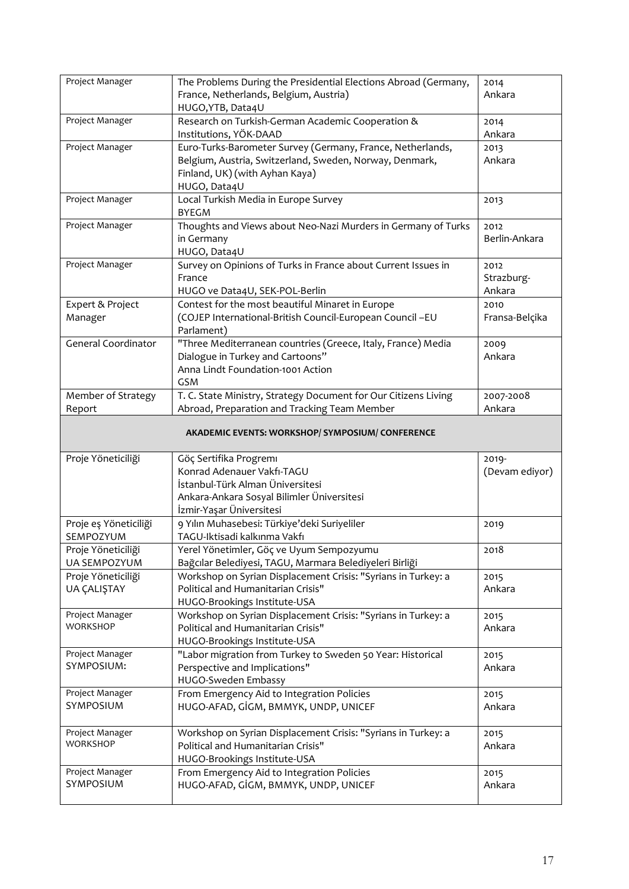| Project Manager                           | The Problems During the Presidential Elections Abroad (Germany,<br>France, Netherlands, Belgium, Austria)<br>HUGO, YTB, Data4U                                          | 2014<br>Ankara               |
|-------------------------------------------|-------------------------------------------------------------------------------------------------------------------------------------------------------------------------|------------------------------|
| Project Manager                           | Research on Turkish-German Academic Cooperation &<br>Institutions, YÖK-DAAD                                                                                             | 2014<br>Ankara               |
| Project Manager                           | Euro-Turks-Barometer Survey (Germany, France, Netherlands,<br>Belgium, Austria, Switzerland, Sweden, Norway, Denmark,<br>Finland, UK) (with Ayhan Kaya)<br>HUGO, Data4U | 2013<br>Ankara               |
| Project Manager                           | Local Turkish Media in Europe Survey<br><b>BYEGM</b>                                                                                                                    | 2013                         |
| Project Manager                           | Thoughts and Views about Neo-Nazi Murders in Germany of Turks<br>in Germany<br>HUGO, Data4U                                                                             | 2012<br>Berlin-Ankara        |
| Project Manager                           | Survey on Opinions of Turks in France about Current Issues in<br>France<br>HUGO ve Data4U, SEK-POL-Berlin                                                               | 2012<br>Strazburg-<br>Ankara |
| Expert & Project<br>Manager               | Contest for the most beautiful Minaret in Europe<br>(COJEP International-British Council-European Council -EU<br>Parlament)                                             | 2010<br>Fransa-Belçika       |
| <b>General Coordinator</b>                | "Three Mediterranean countries (Greece, Italy, France) Media<br>Dialogue in Turkey and Cartoons"<br>Anna Lindt Foundation-1001 Action<br>GSM                            | 2009<br>Ankara               |
| Member of Strategy<br>Report              | T. C. State Ministry, Strategy Document for Our Citizens Living<br>Abroad, Preparation and Tracking Team Member                                                         | 2007-2008<br>Ankara          |
|                                           | AKADEMIC EVENTS: WORKSHOP/ SYMPOSIUM/ CONFERENCE                                                                                                                        |                              |
| Proje Yöneticiliği                        | Göç Sertifika Progremı<br>Konrad Adenauer Vakfı-TAGU<br>İstanbul-Türk Alman Üniversitesi<br>Ankara-Ankara Sosyal Bilimler Üniversitesi<br>İzmir-Yaşar Üniversitesi      | 2019-<br>(Devam ediyor)      |
| Proje eş Yöneticiliği<br>SEMPOZYUM        | 9 Yılın Muhasebesi: Türkiye'deki Suriyeliler<br>TAGU-Iktisadi kalkınma Vakfı                                                                                            | 2019                         |
| Proje Yöneticiliği<br><b>UA SEMPOZYUM</b> | Yerel Yönetimler, Göç ve Uyum Sempozyumu<br>Bağcılar Belediyesi, TAGU, Marmara Belediyeleri Birliği                                                                     | 2018                         |
| Proje Yöneticiliği<br>UA ÇALIŞTAY         | Workshop on Syrian Displacement Crisis: "Syrians in Turkey: a<br>Political and Humanitarian Crisis"<br>HUGO-Brookings Institute-USA                                     | 2015<br>Ankara               |
| Project Manager<br><b>WORKSHOP</b>        | Workshop on Syrian Displacement Crisis: "Syrians in Turkey: a<br>Political and Humanitarian Crisis"<br>HUGO-Brookings Institute-USA                                     | 2015<br>Ankara               |
| Project Manager<br>SYMPOSIUM:             | "Labor migration from Turkey to Sweden 50 Year: Historical<br>Perspective and Implications"<br>HUGO-Sweden Embassy                                                      | 2015<br>Ankara               |
| Project Manager<br>SYMPOSIUM              | From Emergency Aid to Integration Policies<br>HUGO-AFAD, GİGM, BMMYK, UNDP, UNICEF                                                                                      | 2015<br>Ankara               |
| Project Manager<br><b>WORKSHOP</b>        | Workshop on Syrian Displacement Crisis: "Syrians in Turkey: a<br>Political and Humanitarian Crisis"<br>HUGO-Brookings Institute-USA                                     | 2015<br>Ankara               |
| Project Manager<br><b>SYMPOSIUM</b>       | From Emergency Aid to Integration Policies<br>HUGO-AFAD, GİGM, BMMYK, UNDP, UNICEF                                                                                      | 2015<br>Ankara               |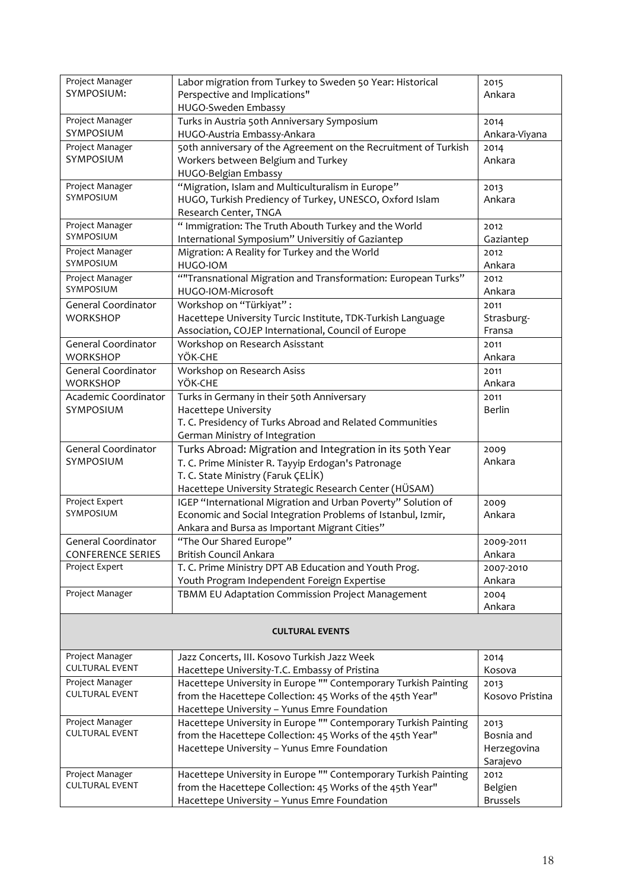| Project Manager<br>SYMPOSIUM:                          | Labor migration from Turkey to Sweden 50 Year: Historical<br>Perspective and Implications"<br>HUGO-Sweden Embassy                                                                                              | 2015<br>Ankara                                |  |
|--------------------------------------------------------|----------------------------------------------------------------------------------------------------------------------------------------------------------------------------------------------------------------|-----------------------------------------------|--|
| Project Manager<br>SYMPOSIUM                           | Turks in Austria 50th Anniversary Symposium<br>HUGO-Austria Embassy-Ankara                                                                                                                                     | 2014<br>Ankara-Viyana                         |  |
| Project Manager<br><b>SYMPOSIUM</b>                    | 50th anniversary of the Agreement on the Recruitment of Turkish<br>Workers between Belgium and Turkey<br>HUGO-Belgian Embassy                                                                                  | 2014<br>Ankara                                |  |
| Project Manager<br>SYMPOSIUM                           | "Migration, Islam and Multiculturalism in Europe"<br>HUGO, Turkish Prediency of Turkey, UNESCO, Oxford Islam<br>Research Center, TNGA                                                                          | 2013<br>Ankara                                |  |
| Project Manager<br>SYMPOSIUM                           | " Immigration: The Truth Abouth Turkey and the World<br>International Symposium" Universitiy of Gaziantep                                                                                                      | 2012<br>Gaziantep                             |  |
| Project Manager<br>SYMPOSIUM                           | Migration: A Reality for Turkey and the World<br>HUGO-IOM                                                                                                                                                      | 2012<br>Ankara                                |  |
| Project Manager<br>SYMPOSIUM                           | "Transnational Migration and Transformation: European Turks"<br>HUGO-IOM-Microsoft                                                                                                                             | 2012<br>Ankara                                |  |
| <b>General Coordinator</b><br><b>WORKSHOP</b>          | Workshop on "Türkiyat":<br>Hacettepe University Turcic Institute, TDK-Turkish Language<br>Association, COJEP International, Council of Europe                                                                  | 2011<br>Strasburg-<br>Fransa                  |  |
| <b>General Coordinator</b><br><b>WORKSHOP</b>          | Workshop on Research Asisstant<br>YÖK-CHE                                                                                                                                                                      | 2011<br>Ankara                                |  |
| <b>General Coordinator</b><br><b>WORKSHOP</b>          | Workshop on Research Asiss<br>YÖK-CHE                                                                                                                                                                          | 2011<br>Ankara                                |  |
| Academic Coordinator<br>SYMPOSIUM                      | Turks in Germany in their 50th Anniversary<br>Hacettepe University<br>T. C. Presidency of Turks Abroad and Related Communities<br>German Ministry of Integration                                               | 2011<br><b>Berlin</b>                         |  |
| <b>General Coordinator</b><br>SYMPOSIUM                | Turks Abroad: Migration and Integration in its 50th Year<br>T. C. Prime Minister R. Tayyip Erdogan's Patronage<br>T. C. State Ministry (Faruk ÇELİK)<br>Hacettepe University Strategic Research Center (HÜSAM) | 2009<br>Ankara                                |  |
| Project Expert<br>SYMPOSIUM                            | IGEP "International Migration and Urban Poverty" Solution of<br>Economic and Social Integration Problems of Istanbul, Izmir,<br>Ankara and Bursa as Important Migrant Cities"                                  | 2009<br>Ankara                                |  |
| <b>General Coordinator</b><br><b>CONFERENCE SERIES</b> | "The Our Shared Europe"<br>British Council Ankara                                                                                                                                                              | 2009-2011<br>Ankara                           |  |
| Project Expert                                         | T. C. Prime Ministry DPT AB Education and Youth Prog.<br>Youth Program Independent Foreign Expertise                                                                                                           | 2007-2010<br>Ankara                           |  |
| Project Manager                                        | TBMM EU Adaptation Commission Project Management                                                                                                                                                               | 2004<br>Ankara                                |  |
| <b>CULTURAL EVENTS</b>                                 |                                                                                                                                                                                                                |                                               |  |
| Project Manager<br><b>CULTURAL EVENT</b>               | Jazz Concerts, III. Kosovo Turkish Jazz Week<br>Hacettepe University-T.C. Embassy of Pristina                                                                                                                  | 2014<br>Kosova                                |  |
| Project Manager<br><b>CULTURAL EVENT</b>               | Hacettepe University in Europe "" Contemporary Turkish Painting<br>from the Hacettepe Collection: 45 Works of the 45th Year"<br>Hacettepe University - Yunus Emre Foundation                                   | 2013<br>Kosovo Pristina                       |  |
| Project Manager<br><b>CULTURAL EVENT</b>               | Hacettepe University in Europe "" Contemporary Turkish Painting<br>from the Hacettepe Collection: 45 Works of the 45th Year"<br>Hacettepe University - Yunus Emre Foundation                                   | 2013<br>Bosnia and<br>Herzegovina<br>Sarajevo |  |
| Project Manager<br><b>CULTURAL EVENT</b>               | Hacettepe University in Europe "" Contemporary Turkish Painting<br>from the Hacettepe Collection: 45 Works of the 45th Year"<br>Hacettepe University - Yunus Emre Foundation                                   | 2012<br>Belgien<br><b>Brussels</b>            |  |